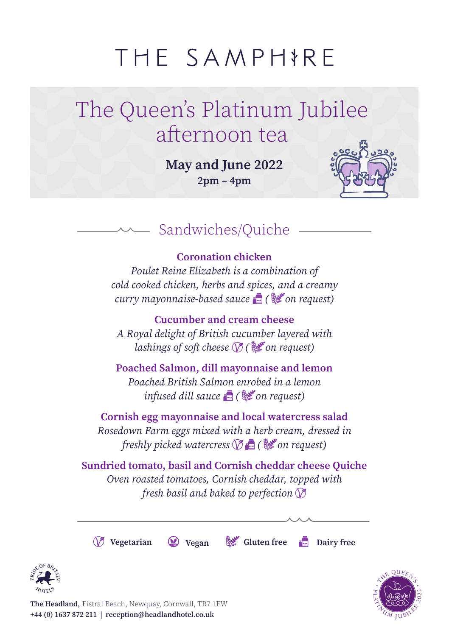# THE SAMPHIRE

## The Queen's Platinum Jubilee afternoon tea

**May and June 2022 2pm – 4pm**



### Sandwiches/Quiche

#### **Coronation chicken**

*Poulet Reine Elizabeth is a combination of cold cooked chicken, herbs and spices, and a creamy curry mayonnaise-based sauce ( on request)*

**Cucumber and cream cheese** *A Royal delight of British cucumber layered with lashings of soft cheese ( on request)*

**Poached Salmon, dill mayonnaise and lemon** *Poached British Salmon enrobed in a lemon infused dill sauce ( on request)*

**Cornish egg mayonnaise and local watercress salad** *Rosedown Farm eggs mixed with a herb cream, dressed in freshly picked watercress ( on request)*

**Sundried tomato, basil and Cornish cheddar cheese Quiche**  *Oven roasted tomatoes, Cornish cheddar, topped with fresh basil and baked to perfection* 

**Vegetarian Vegan Gluten free Dairy free**



**The Headland**, Fistral Beach, Newquay, Cornwall, TR7 1EW **+44 (0) 1637 872 211 | reception@headlandhotel.co.uk**